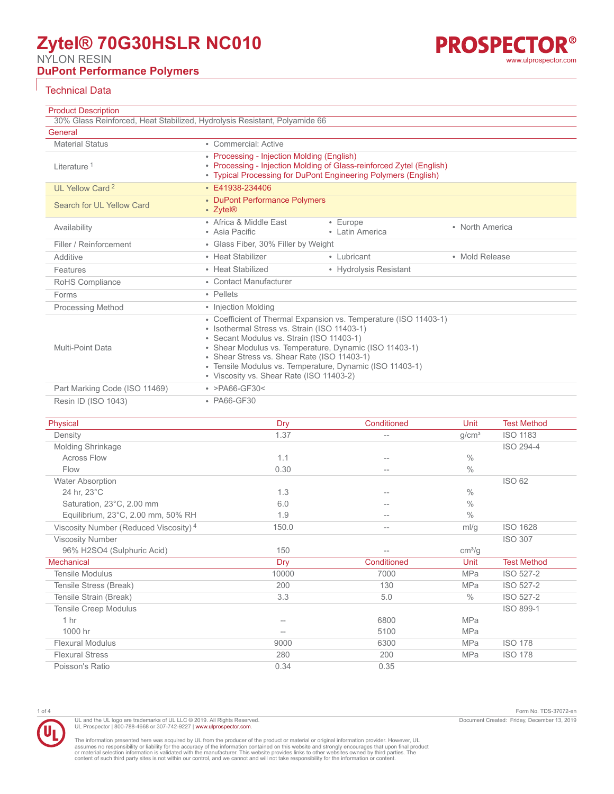# **Zytel® 70G30HSLR NC010**

NYLON RESIN

## **DuPont Performance Polymers**

### Technical Data

| <b>Product Description</b>                                                           |                                                                                                                                                                                                                                                                                                                                                                                |                             |                 |                    |
|--------------------------------------------------------------------------------------|--------------------------------------------------------------------------------------------------------------------------------------------------------------------------------------------------------------------------------------------------------------------------------------------------------------------------------------------------------------------------------|-----------------------------|-----------------|--------------------|
| 30% Glass Reinforced, Heat Stabilized, Hydrolysis Resistant, Polyamide 66<br>General |                                                                                                                                                                                                                                                                                                                                                                                |                             |                 |                    |
| <b>Material Status</b>                                                               | • Commercial: Active                                                                                                                                                                                                                                                                                                                                                           |                             |                 |                    |
| Literature <sup>1</sup>                                                              | • Processing - Injection Molding (English)<br>• Processing - Injection Molding of Glass-reinforced Zytel (English)<br>• Typical Processing for DuPont Engineering Polymers (English)                                                                                                                                                                                           |                             |                 |                    |
| UI Yellow Card <sup>2</sup>                                                          | $\cdot$ F41938-234406                                                                                                                                                                                                                                                                                                                                                          |                             |                 |                    |
| Search for UL Yellow Card                                                            | • DuPont Performance Polymers<br>• Zytel <sup>®</sup>                                                                                                                                                                                                                                                                                                                          |                             |                 |                    |
| Availability                                                                         | • Africa & Middle East<br>• Asia Pacific                                                                                                                                                                                                                                                                                                                                       | • Europe<br>• Latin America | • North America |                    |
| Filler / Reinforcement                                                               | • Glass Fiber, 30% Filler by Weight                                                                                                                                                                                                                                                                                                                                            |                             |                 |                    |
| Additive                                                                             | • Heat Stabilizer                                                                                                                                                                                                                                                                                                                                                              | • Lubricant                 | • Mold Release  |                    |
| Features                                                                             | • Heat Stabilized                                                                                                                                                                                                                                                                                                                                                              | • Hydrolysis Resistant      |                 |                    |
| RoHS Compliance                                                                      | • Contact Manufacturer                                                                                                                                                                                                                                                                                                                                                         |                             |                 |                    |
| Forms                                                                                | • Pellets                                                                                                                                                                                                                                                                                                                                                                      |                             |                 |                    |
| <b>Processing Method</b>                                                             | • Injection Molding                                                                                                                                                                                                                                                                                                                                                            |                             |                 |                    |
| Multi-Point Data                                                                     | • Coefficient of Thermal Expansion vs. Temperature (ISO 11403-1)<br>· Isothermal Stress vs. Strain (ISO 11403-1)<br>• Secant Modulus vs. Strain (ISO 11403-1)<br>• Shear Modulus vs. Temperature, Dynamic (ISO 11403-1)<br>• Shear Stress vs. Shear Rate (ISO 11403-1)<br>• Tensile Modulus vs. Temperature, Dynamic (ISO 11403-1)<br>• Viscosity vs. Shear Rate (ISO 11403-2) |                             |                 |                    |
| Part Marking Code (ISO 11469)                                                        | • $>PA66-GF30<$                                                                                                                                                                                                                                                                                                                                                                |                             |                 |                    |
| Resin ID (ISO 1043)                                                                  | • PA66-GF30                                                                                                                                                                                                                                                                                                                                                                    |                             |                 |                    |
| Physical                                                                             | Dry                                                                                                                                                                                                                                                                                                                                                                            | Conditioned                 | Unit            | <b>Test Method</b> |

| Physical                                          | Dry   | Conditioned       | Unit               | Test Method        |
|---------------------------------------------------|-------|-------------------|--------------------|--------------------|
| Density                                           | 1.37  | $\qquad \qquad -$ | g/cm <sup>3</sup>  | <b>ISO 1183</b>    |
| <b>Molding Shrinkage</b>                          |       |                   |                    | ISO 294-4          |
| <b>Across Flow</b>                                | 1.1   | $-$               | $\frac{0}{0}$      |                    |
| Flow                                              | 0.30  | $-$               | $\frac{0}{0}$      |                    |
| <b>Water Absorption</b>                           |       |                   |                    | <b>ISO 62</b>      |
| 24 hr, 23°C                                       | 1.3   |                   | $\frac{0}{0}$      |                    |
| Saturation, 23°C, 2.00 mm                         | 6.0   | $- -$             | $\%$               |                    |
| Equilibrium, 23°C, 2.00 mm, 50% RH                | 1.9   | $\qquad \qquad -$ | $\frac{0}{0}$      |                    |
| Viscosity Number (Reduced Viscosity) <sup>4</sup> | 150.0 | $\qquad \qquad -$ | ml/g               | <b>ISO 1628</b>    |
| <b>Viscosity Number</b>                           |       |                   |                    | <b>ISO 307</b>     |
| 96% H2SO4 (Sulphuric Acid)                        | 150   | $-$               | cm <sup>3</sup> /g |                    |
| <b>Mechanical</b>                                 | Dry   | Conditioned       | Unit               | <b>Test Method</b> |
| <b>Tensile Modulus</b>                            | 10000 | 7000              | <b>MPa</b>         | ISO 527-2          |
| Tensile Stress (Break)                            | 200   | 130               | <b>MPa</b>         | ISO 527-2          |
| Tensile Strain (Break)                            | 3.3   | 5.0               | $\%$               | ISO 527-2          |
| <b>Tensile Creep Modulus</b>                      |       |                   |                    | ISO 899-1          |
| 1 <sub>hr</sub>                                   | $-$   | 6800              | <b>MPa</b>         |                    |
| 1000 hr                                           | $-1$  | 5100              | <b>MPa</b>         |                    |
| <b>Flexural Modulus</b>                           | 9000  | 6300              | <b>MPa</b>         | <b>ISO 178</b>     |
| <b>Flexural Stress</b>                            | 280   | 200               | <b>MPa</b>         | <b>ISO 178</b>     |
| Poisson's Ratio                                   | 0.34  | 0.35              |                    |                    |
|                                                   |       |                   |                    |                    |



UL and the UL logo are trademarks of UL LLC © 2019. All Rights Reserved.<br>UL Prospector | 800-788-4668 or 307-742-9227 | [www.ulprospector.com](http://www.ulprospector.com).

1 of 4 Form No. TDS-37072-en Document Created: Friday, December 13, 2019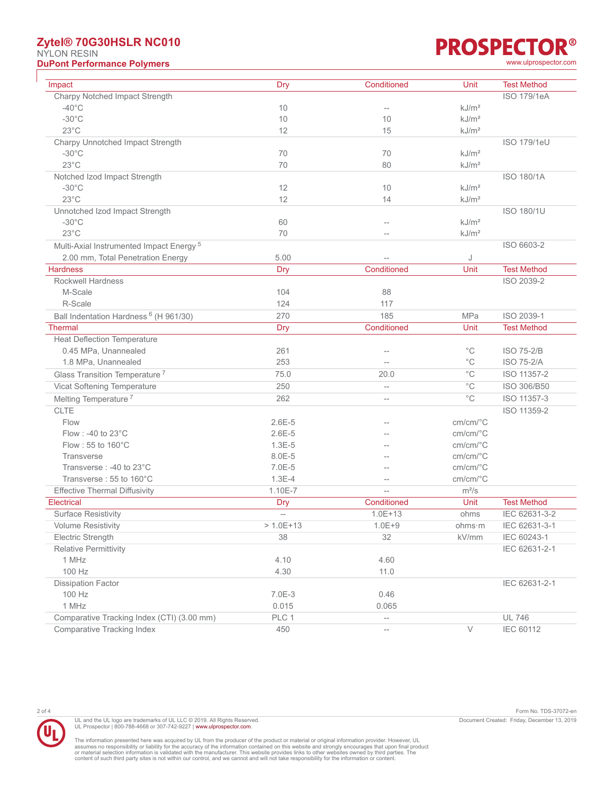### **Zytel® 70G30HSLR NC010** NYLON RESIN **DuPont Performance Polymers** [www.ulprospector.com](http://www.ulprospector.com)

| Impact                                              | <b>Dry</b>               | Conditioned                                         | Unit                                      | <b>Test Method</b> |
|-----------------------------------------------------|--------------------------|-----------------------------------------------------|-------------------------------------------|--------------------|
| Charpy Notched Impact Strength                      |                          |                                                     |                                           | <b>ISO 179/1eA</b> |
| $-40^{\circ}$ C                                     | 10                       | $\overline{\phantom{a}}$                            | kJ/m <sup>2</sup>                         |                    |
| $-30^{\circ}$ C                                     | 10                       | 10                                                  | kJ/m <sup>2</sup>                         |                    |
| $23^{\circ}$ C                                      | 12                       | 15                                                  | kJ/m <sup>2</sup>                         |                    |
| Charpy Unnotched Impact Strength                    |                          |                                                     |                                           | <b>ISO 179/1eU</b> |
| $-30^{\circ}$ C                                     | 70                       | 70                                                  | kJ/m <sup>2</sup>                         |                    |
| $23^{\circ}$ C                                      | 70                       | 80                                                  | kJ/m <sup>2</sup>                         |                    |
| Notched Izod Impact Strength                        |                          |                                                     |                                           | <b>ISO 180/1A</b>  |
| $-30^{\circ}$ C                                     | 12                       | 10                                                  | kJ/m <sup>2</sup>                         |                    |
| $23^{\circ}$ C                                      | 12                       | 14                                                  | kJ/m <sup>2</sup>                         |                    |
| Unnotched Izod Impact Strength                      |                          |                                                     |                                           | <b>ISO 180/1U</b>  |
| $-30^{\circ}$ C                                     | 60                       | $-$                                                 | kJ/m <sup>2</sup>                         |                    |
| $23^{\circ}$ C                                      | 70                       | $-$                                                 | kJ/m <sup>2</sup>                         |                    |
| Multi-Axial Instrumented Impact Energy <sup>5</sup> |                          |                                                     |                                           | ISO 6603-2         |
| 2.00 mm, Total Penetration Energy                   | 5.00                     |                                                     | J                                         |                    |
| <b>Hardness</b>                                     | <b>Dry</b>               | Conditioned                                         | Unit                                      | <b>Test Method</b> |
| <b>Rockwell Hardness</b>                            |                          |                                                     |                                           | ISO 2039-2         |
| M-Scale                                             | 104                      | 88                                                  |                                           |                    |
| R-Scale                                             | 124                      | 117                                                 |                                           |                    |
| Ball Indentation Hardness <sup>6</sup> (H 961/30)   | 270                      | 185                                                 | <b>MPa</b>                                | ISO 2039-1         |
| Thermal                                             | <b>Dry</b>               | Conditioned                                         | Unit                                      | <b>Test Method</b> |
| <b>Heat Deflection Temperature</b>                  |                          |                                                     |                                           |                    |
| 0.45 MPa, Unannealed                                | 261                      | --                                                  | $^{\circ}$ C                              | <b>ISO 75-2/B</b>  |
| 1.8 MPa, Unannealed                                 | 253                      |                                                     | $^{\circ}{\rm C}$                         | <b>ISO 75-2/A</b>  |
| Glass Transition Temperature <sup>7</sup>           | 75.0                     | 20.0                                                | $^{\circ}{\rm C}$                         | ISO 11357-2        |
| Vicat Softening Temperature                         | 250                      | --                                                  | $^{\circ}C$                               | ISO 306/B50        |
|                                                     | 262                      |                                                     | $^{\circ}{\rm C}$                         | ISO 11357-3        |
| Melting Temperature <sup>7</sup>                    |                          | --                                                  |                                           |                    |
| <b>CLTE</b>                                         |                          |                                                     |                                           | ISO 11359-2        |
| Flow                                                | $2.6E - 5$               | --                                                  | cm/cm/°C                                  |                    |
| Flow: -40 to 23°C                                   | $2.6E - 5$               |                                                     | $cm/cm$ <sup>o</sup> $C$                  |                    |
| Flow: 55 to 160°C                                   | $1.3E-5$                 |                                                     | $cm/cm$ <sup>o</sup> $C$                  |                    |
| <b>Transverse</b>                                   | 8.0E-5                   |                                                     | $cm/cm$ <sup><math>\degree</math></sup> C |                    |
| Transverse: -40 to 23°C                             | 7.0E-5                   |                                                     | $cm/cm$ <sup><math>\degree</math></sup> C |                    |
| Transverse: 55 to 160°C                             | $1.3E - 4$               | $\overline{\phantom{0}}$                            | $cm/cm$ <sup><math>\degree</math></sup> C |                    |
| <b>Effective Thermal Diffusivity</b>                | 1.10E-7                  | $\overline{a}$                                      | $m^2/s$                                   |                    |
| <b>Electrical</b>                                   | <b>Dry</b>               | Conditioned                                         | Unit                                      | <b>Test Method</b> |
| <b>Surface Resistivity</b>                          | $\overline{\phantom{a}}$ | $1.0E + 13$                                         | ohms                                      | IEC 62631-3-2      |
| Volume Resistivity                                  | $> 1.0E + 13$            | $1.0E + 9$                                          | ohms·m                                    | IEC 62631-3-1      |
| Electric Strength                                   | 38                       | 32                                                  | kV/mm                                     | IEC 60243-1        |
| <b>Relative Permittivity</b>                        |                          |                                                     |                                           | IEC 62631-2-1      |
| 1 MHz                                               | 4.10                     | 4.60                                                |                                           |                    |
| 100 Hz                                              | 4.30                     | 11.0                                                |                                           |                    |
| <b>Dissipation Factor</b>                           |                          |                                                     |                                           | IEC 62631-2-1      |
| 100 Hz                                              | 7.0E-3                   | 0.46                                                |                                           |                    |
| 1 MHz                                               | 0.015                    | 0.065                                               |                                           |                    |
| Comparative Tracking Index (CTI) (3.00 mm)          | PLC 1                    | $\qquad \qquad -$                                   |                                           | <b>UL 746</b>      |
| <b>Comparative Tracking Index</b>                   | 450                      | $\hspace{0.05cm} -\hspace{0.05cm} -\hspace{0.05cm}$ | $\vee$                                    | <b>IEC 60112</b>   |

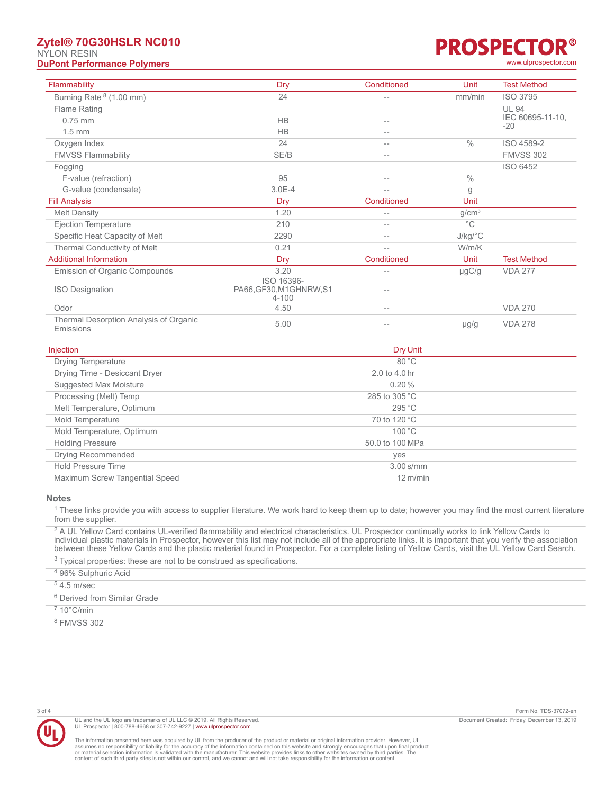### **Zytel® 70G30HSLR NC010** NYLON RESIN **DuPont Performance Polymers** [www.ulprospector.com](http://www.ulprospector.com)

# R® **PROSPECTC**

| Flammability                                        | Dry                                                | Conditioned | Unit                    | <b>Test Method</b>        |
|-----------------------------------------------------|----------------------------------------------------|-------------|-------------------------|---------------------------|
| Burning Rate <sup>8</sup> (1.00 mm)                 | 24                                                 | $-$         | mm/min                  | <b>ISO 3795</b>           |
| Flame Rating                                        |                                                    |             |                         | <b>UL 94</b>              |
| $0.75$ mm                                           | <b>HB</b>                                          | $- -$       |                         | IEC 60695-11-10.<br>$-20$ |
| $1.5 \text{ mm}$                                    | <b>HB</b>                                          | --          |                         |                           |
| Oxygen Index                                        | 24                                                 | $-$         | $\frac{0}{0}$           | ISO 4589-2                |
| <b>FMVSS Flammability</b>                           | SE/B                                               | $-$         |                         | <b>FMVSS 302</b>          |
| Fogging                                             |                                                    |             |                         | ISO 6452                  |
| F-value (refraction)                                | 95                                                 |             | $\frac{0}{0}$           |                           |
| G-value (condensate)                                | $3.0E - 4$                                         |             | g                       |                           |
| <b>Fill Analysis</b>                                | Dry                                                | Conditioned | Unit                    |                           |
| <b>Melt Density</b>                                 | 1.20                                               | --          | g/cm <sup>3</sup>       |                           |
| Ejection Temperature                                | 210                                                | $-$         | $^{\circ}$ C            |                           |
| Specific Heat Capacity of Melt                      | 2290                                               | $-$         | $J/kg$ <sup>o</sup> $C$ |                           |
| Thermal Conductivity of Melt                        | 0.21                                               | $=$         | W/m/K                   |                           |
| <b>Additional Information</b>                       | Dry                                                | Conditioned | Unit                    | <b>Test Method</b>        |
| <b>Emission of Organic Compounds</b>                | 3.20                                               | $-$         | µgC/g                   | <b>VDA 277</b>            |
| <b>ISO Designation</b>                              | ISO 16396-<br>PA66, GF30, M1GHNRW, S1<br>$4 - 100$ | --          |                         |                           |
| Odor                                                | 4.50                                               | $- -$       |                         | <b>VDA 270</b>            |
| Thermal Desorption Analysis of Organic<br>Emissions | 5.00                                               | --          | $\mu$ g/g               | <b>VDA 278</b>            |

| Injection                      | Dry Unit                         |  |
|--------------------------------|----------------------------------|--|
| <b>Drying Temperature</b>      | $80^{\circ}$ C                   |  |
| Drying Time - Desiccant Dryer  | $2.0 \text{ to } 4.0 \text{ hr}$ |  |
| Suggested Max Moisture         | 0.20%                            |  |
| Processing (Melt) Temp         | 285 to 305 $\degree$ C           |  |
| Melt Temperature, Optimum      | 295 °C                           |  |
| Mold Temperature               | 70 to 120 °C                     |  |
| Mold Temperature, Optimum      | 100 °C                           |  |
| <b>Holding Pressure</b>        | 50.0 to 100 MPa                  |  |
| Drying Recommended             | yes                              |  |
| <b>Hold Pressure Time</b>      | $3.00$ s/mm                      |  |
| Maximum Screw Tangential Speed | $12 \text{ m/min}$               |  |

### **Notes**

 $1$  These links provide you with access to supplier literature. We work hard to keep them up to date; however you may find the most current literature from the supplier.

<sup>2</sup> A UL Yellow Card contains UL-verified flammability and electrical characteristics. UL Prospector continually works to link Yellow Cards to individual plastic materials in Prospector, however this list may not include all of the appropriate links. It is important that you verify the association between these Yellow Cards and the plastic material found in Prospector. For a complete listing of Yellow Cards, visit the UL Yellow Card Search.

 $3$  Typical properties: these are not to be construed as specifications. <sup>4</sup> 96% Sulphuric Acid  $54.5$  m/sec 6 Derived from Similar Grade

 $710^{\circ}$ C/min

8 FMVSS 302



UL and the UL logo are trademarks of UL LLC © 2019. All Rights Reserved. UL Prospector | 800-788-4668 or 307-742-9227 | [www.ulprospector.com](http://www.ulprospector.com).

3 of 4 Form No. TDS-37072-en Document Created: Friday, December 13, 2019